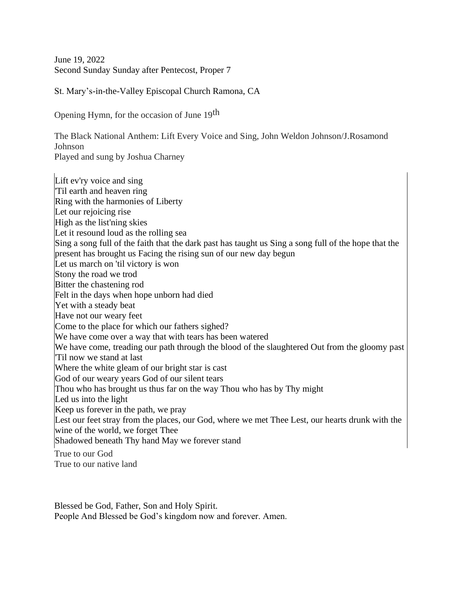June 19, 2022 Second Sunday Sunday after Pentecost, Proper 7

St. Mary's-in-the-Valley Episcopal Church Ramona, CA

Opening Hymn, for the occasion of June 19<sup>th</sup>

The Black National Anthem: Lift Every Voice and Sing, John Weldon Johnson/J.Rosamond Johnson Played and sung by Joshua Charney

Lift ev'ry voice and sing 'Til earth and heaven ring Ring with the harmonies of Liberty Let our rejoicing rise High as the list'ning skies Let it resound loud as the rolling sea Sing a song full of the faith that the dark past has taught us Sing a song full of the hope that the present has brought us Facing the rising sun of our new day begun Let us march on 'til victory is won Stony the road we trod Bitter the chastening rod Felt in the days when hope unborn had died Yet with a steady beat Have not our weary feet Come to the place for which our fathers sighed? We have come over a way that with tears has been watered We have come, treading our path through the blood of the slaughtered Out from the gloomy past 'Til now we stand at last Where the white gleam of our bright star is cast God of our weary years God of our silent tears Thou who has brought us thus far on the way Thou who has by Thy might Led us into the light Keep us forever in the path, we pray Lest our feet stray from the places, our God, where we met Thee Lest, our hearts drunk with the wine of the world, we forget Thee Shadowed beneath Thy hand May we forever stand True to our God True to our native land

Blessed be God, Father, Son and Holy Spirit. People And Blessed be God's kingdom now and forever. Amen.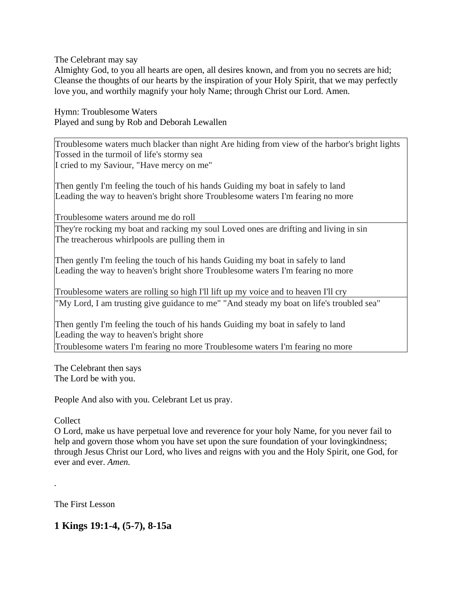The Celebrant may say

Almighty God, to you all hearts are open, all desires known, and from you no secrets are hid; Cleanse the thoughts of our hearts by the inspiration of your Holy Spirit, that we may perfectly love you, and worthily magnify your holy Name; through Christ our Lord. Amen.

Hymn: Troublesome Waters Played and sung by Rob and Deborah Lewallen

Troublesome waters much blacker than night Are hiding from view of the harbor's bright lights Tossed in the turmoil of life's stormy sea I cried to my Saviour, "Have mercy on me"

Then gently I'm feeling the touch of his hands Guiding my boat in safely to land Leading the way to heaven's bright shore Troublesome waters I'm fearing no more

Troublesome waters around me do roll

They're rocking my boat and racking my soul Loved ones are drifting and living in sin The treacherous whirlpools are pulling them in

Then gently I'm feeling the touch of his hands Guiding my boat in safely to land Leading the way to heaven's bright shore Troublesome waters I'm fearing no more

Troublesome waters are rolling so high I'll lift up my voice and to heaven I'll cry "My Lord, I am trusting give guidance to me" "And steady my boat on life's troubled sea"

Then gently I'm feeling the touch of his hands Guiding my boat in safely to land Leading the way to heaven's bright shore Troublesome waters I'm fearing no more Troublesome waters I'm fearing no more

The Celebrant then says The Lord be with you.

People And also with you. Celebrant Let us pray.

Collect

*.* 

O Lord, make us have perpetual love and reverence for your holy Name, for you never fail to help and govern those whom you have set upon the sure foundation of your loving kindness; through Jesus Christ our Lord, who lives and reigns with you and the Holy Spirit, one God, for ever and ever. *Amen.* 

The First Lesson

**1 Kings 19:1-4, (5-7), 8-15a**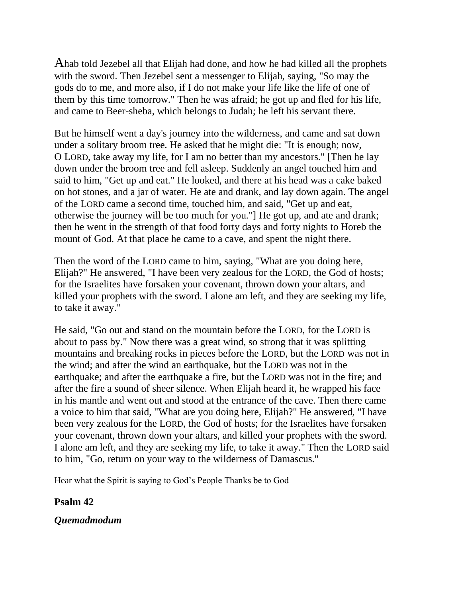Ahab told Jezebel all that Elijah had done, and how he had killed all the prophets with the sword. Then Jezebel sent a messenger to Elijah, saying, "So may the gods do to me, and more also, if I do not make your life like the life of one of them by this time tomorrow." Then he was afraid; he got up and fled for his life, and came to Beer-sheba, which belongs to Judah; he left his servant there.

But he himself went a day's journey into the wilderness, and came and sat down under a solitary broom tree. He asked that he might die: "It is enough; now, O LORD, take away my life, for I am no better than my ancestors." [Then he lay down under the broom tree and fell asleep. Suddenly an angel touched him and said to him, "Get up and eat." He looked, and there at his head was a cake baked on hot stones, and a jar of water. He ate and drank, and lay down again. The angel of the LORD came a second time, touched him, and said, "Get up and eat, otherwise the journey will be too much for you."] He got up, and ate and drank; then he went in the strength of that food forty days and forty nights to Horeb the mount of God. At that place he came to a cave, and spent the night there.

Then the word of the LORD came to him, saying, "What are you doing here, Elijah?" He answered, "I have been very zealous for the LORD, the God of hosts; for the Israelites have forsaken your covenant, thrown down your altars, and killed your prophets with the sword. I alone am left, and they are seeking my life, to take it away."

He said, "Go out and stand on the mountain before the LORD, for the LORD is about to pass by." Now there was a great wind, so strong that it was splitting mountains and breaking rocks in pieces before the LORD, but the LORD was not in the wind; and after the wind an earthquake, but the LORD was not in the earthquake; and after the earthquake a fire, but the LORD was not in the fire; and after the fire a sound of sheer silence. When Elijah heard it, he wrapped his face in his mantle and went out and stood at the entrance of the cave. Then there came a voice to him that said, "What are you doing here, Elijah?" He answered, "I have been very zealous for the LORD, the God of hosts; for the Israelites have forsaken your covenant, thrown down your altars, and killed your prophets with the sword. I alone am left, and they are seeking my life, to take it away." Then the LORD said to him, "Go, return on your way to the wilderness of Damascus."

Hear what the Spirit is saying to God's People Thanks be to God

**Psalm 42**

*Quemadmodum*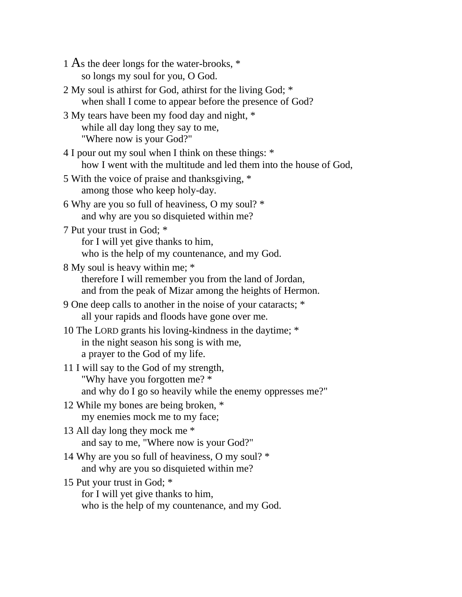| 1 As the deer longs for the water-brooks, *                                                                                                          |
|------------------------------------------------------------------------------------------------------------------------------------------------------|
| so longs my soul for you, O God.                                                                                                                     |
| 2 My soul is athirst for God, athirst for the living God; *<br>when shall I come to appear before the presence of God?                               |
| 3 My tears have been my food day and night, *<br>while all day long they say to me,<br>"Where now is your God?"                                      |
| 4 I pour out my soul when I think on these things: *<br>how I went with the multitude and led them into the house of God,                            |
| 5 With the voice of praise and thanksgiving, *<br>among those who keep holy-day.                                                                     |
| 6 Why are you so full of heaviness, O my soul? *<br>and why are you so disquieted within me?                                                         |
| 7 Put your trust in God; *<br>for I will yet give thanks to him,<br>who is the help of my countenance, and my God.                                   |
| 8 My soul is heavy within me; *<br>therefore I will remember you from the land of Jordan,<br>and from the peak of Mizar among the heights of Hermon. |
| 9 One deep calls to another in the noise of your cataracts; *<br>all your rapids and floods have gone over me.                                       |
| 10 The LORD grants his loving-kindness in the daytime; *<br>in the night season his song is with me,<br>a prayer to the God of my life.              |
| 11 I will say to the God of my strength,<br>"Why have you forgotten me? *<br>and why do I go so heavily while the enemy oppresses me?"               |
| 12 While my bones are being broken, *<br>my enemies mock me to my face;                                                                              |
| 13 All day long they mock me *<br>and say to me, "Where now is your God?"                                                                            |
| 14 Why are you so full of heaviness, O my soul? *<br>and why are you so disquieted within me?                                                        |
| 15 Put your trust in God; *                                                                                                                          |
| for I will yet give thanks to him,                                                                                                                   |
| who is the help of my countenance, and my God.                                                                                                       |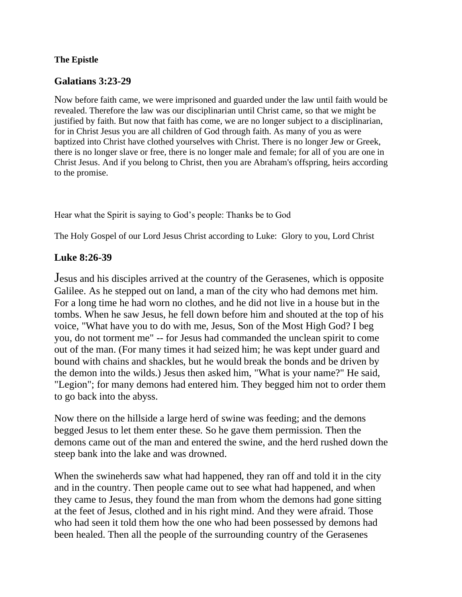## **The Epistle**

# **Galatians 3:23-29**

Now before faith came, we were imprisoned and guarded under the law until faith would be revealed. Therefore the law was our disciplinarian until Christ came, so that we might be justified by faith. But now that faith has come, we are no longer subject to a disciplinarian, for in Christ Jesus you are all children of God through faith. As many of you as were baptized into Christ have clothed yourselves with Christ. There is no longer Jew or Greek, there is no longer slave or free, there is no longer male and female; for all of you are one in Christ Jesus. And if you belong to Christ, then you are Abraham's offspring, heirs according to the promise.

Hear what the Spirit is saying to God's people: Thanks be to God

The Holy Gospel of our Lord Jesus Christ according to Luke: Glory to you, Lord Christ

# **Luke 8:26-39**

Jesus and his disciples arrived at the country of the Gerasenes, which is opposite Galilee. As he stepped out on land, a man of the city who had demons met him. For a long time he had worn no clothes, and he did not live in a house but in the tombs. When he saw Jesus, he fell down before him and shouted at the top of his voice, "What have you to do with me, Jesus, Son of the Most High God? I beg you, do not torment me" -- for Jesus had commanded the unclean spirit to come out of the man. (For many times it had seized him; he was kept under guard and bound with chains and shackles, but he would break the bonds and be driven by the demon into the wilds.) Jesus then asked him, "What is your name?" He said, "Legion"; for many demons had entered him. They begged him not to order them to go back into the abyss.

Now there on the hillside a large herd of swine was feeding; and the demons begged Jesus to let them enter these. So he gave them permission. Then the demons came out of the man and entered the swine, and the herd rushed down the steep bank into the lake and was drowned.

When the swineherds saw what had happened, they ran off and told it in the city and in the country. Then people came out to see what had happened, and when they came to Jesus, they found the man from whom the demons had gone sitting at the feet of Jesus, clothed and in his right mind. And they were afraid. Those who had seen it told them how the one who had been possessed by demons had been healed. Then all the people of the surrounding country of the Gerasenes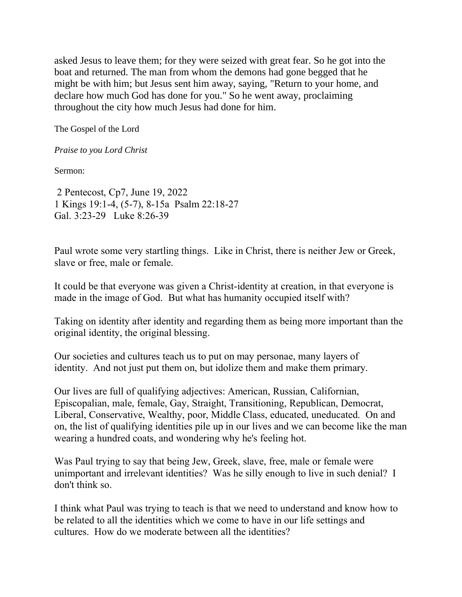asked Jesus to leave them; for they were seized with great fear. So he got into the boat and returned. The man from whom the demons had gone begged that he might be with him; but Jesus sent him away, saying, "Return to your home, and declare how much God has done for you." So he went away, proclaiming throughout the city how much Jesus had done for him.

The Gospel of the Lord

*Praise to you Lord Christ* 

Sermon:

2 Pentecost, Cp7, June 19, 2022 1 Kings 19:1-4, (5-7), 8-15a Psalm 22:18-27 Gal. 3:23-29 Luke 8:26-39

Paul wrote some very startling things. Like in Christ, there is neither Jew or Greek, slave or free, male or female.

It could be that everyone was given a Christ-identity at creation, in that everyone is made in the image of God. But what has humanity occupied itself with?

Taking on identity after identity and regarding them as being more important than the original identity, the original blessing.

Our societies and cultures teach us to put on may personae, many layers of identity. And not just put them on, but idolize them and make them primary.

Our lives are full of qualifying adjectives: American, Russian, Californian, Episcopalian, male, female, Gay, Straight, Transitioning, Republican, Democrat, Liberal, Conservative, Wealthy, poor, Middle Class, educated, uneducated. On and on, the list of qualifying identities pile up in our lives and we can become like the man wearing a hundred coats, and wondering why he's feeling hot.

Was Paul trying to say that being Jew, Greek, slave, free, male or female were unimportant and irrelevant identities? Was he silly enough to live in such denial? I don't think so.

I think what Paul was trying to teach is that we need to understand and know how to be related to all the identities which we come to have in our life settings and cultures. How do we moderate between all the identities?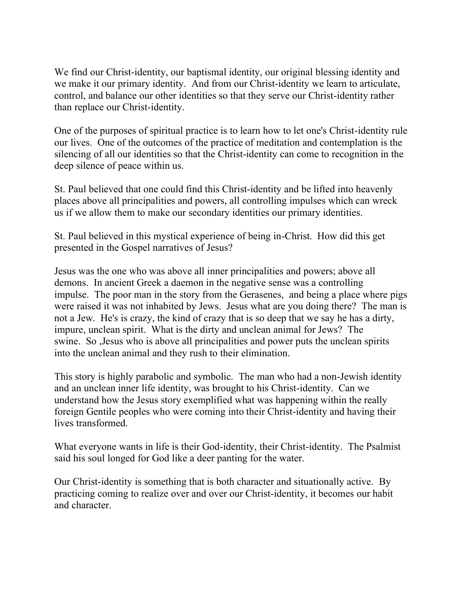We find our Christ-identity, our baptismal identity, our original blessing identity and we make it our primary identity. And from our Christ-identity we learn to articulate, control, and balance our other identities so that they serve our Christ-identity rather than replace our Christ-identity.

One of the purposes of spiritual practice is to learn how to let one's Christ-identity rule our lives. One of the outcomes of the practice of meditation and contemplation is the silencing of all our identities so that the Christ-identity can come to recognition in the deep silence of peace within us.

St. Paul believed that one could find this Christ-identity and be lifted into heavenly places above all principalities and powers, all controlling impulses which can wreck us if we allow them to make our secondary identities our primary identities.

St. Paul believed in this mystical experience of being in-Christ. How did this get presented in the Gospel narratives of Jesus?

Jesus was the one who was above all inner principalities and powers; above all demons. In ancient Greek a daemon in the negative sense was a controlling impulse. The poor man in the story from the Gerasenes, and being a place where pigs were raised it was not inhabited by Jews. Jesus what are you doing there? The man is not a Jew. He's is crazy, the kind of crazy that is so deep that we say he has a dirty, impure, unclean spirit. What is the dirty and unclean animal for Jews? The swine. So ,Jesus who is above all principalities and power puts the unclean spirits into the unclean animal and they rush to their elimination.

This story is highly parabolic and symbolic. The man who had a non-Jewish identity and an unclean inner life identity, was brought to his Christ-identity. Can we understand how the Jesus story exemplified what was happening within the really foreign Gentile peoples who were coming into their Christ-identity and having their lives transformed.

What everyone wants in life is their God-identity, their Christ-identity. The Psalmist said his soul longed for God like a deer panting for the water.

Our Christ-identity is something that is both character and situationally active. By practicing coming to realize over and over our Christ-identity, it becomes our habit and character.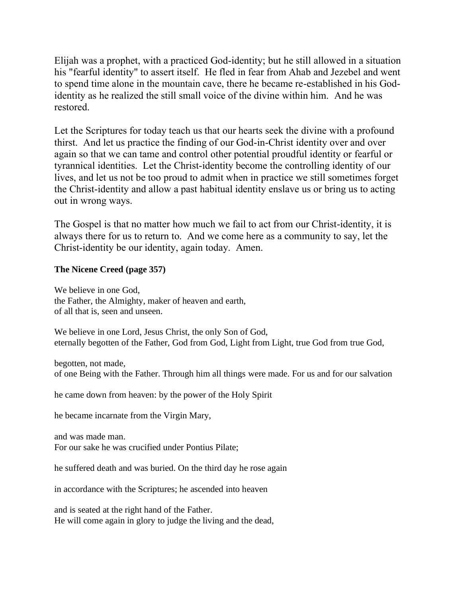Elijah was a prophet, with a practiced God-identity; but he still allowed in a situation his "fearful identity" to assert itself. He fled in fear from Ahab and Jezebel and went to spend time alone in the mountain cave, there he became re-established in his Godidentity as he realized the still small voice of the divine within him. And he was restored.

Let the Scriptures for today teach us that our hearts seek the divine with a profound thirst. And let us practice the finding of our God-in-Christ identity over and over again so that we can tame and control other potential proudful identity or fearful or tyrannical identities. Let the Christ-identity become the controlling identity of our lives, and let us not be too proud to admit when in practice we still sometimes forget the Christ-identity and allow a past habitual identity enslave us or bring us to acting out in wrong ways.

The Gospel is that no matter how much we fail to act from our Christ-identity, it is always there for us to return to. And we come here as a community to say, let the Christ-identity be our identity, again today. Amen.

## **The Nicene Creed (page 357)**

We believe in one God, the Father, the Almighty, maker of heaven and earth, of all that is, seen and unseen.

We believe in one Lord, Jesus Christ, the only Son of God, eternally begotten of the Father, God from God, Light from Light, true God from true God,

begotten, not made, of one Being with the Father. Through him all things were made. For us and for our salvation

he came down from heaven: by the power of the Holy Spirit

he became incarnate from the Virgin Mary,

and was made man. For our sake he was crucified under Pontius Pilate;

he suffered death and was buried. On the third day he rose again

in accordance with the Scriptures; he ascended into heaven

and is seated at the right hand of the Father. He will come again in glory to judge the living and the dead,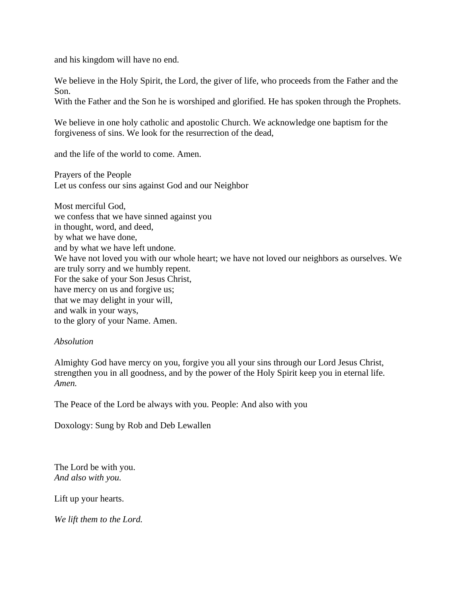and his kingdom will have no end.

We believe in the Holy Spirit, the Lord, the giver of life, who proceeds from the Father and the Son.

With the Father and the Son he is worshiped and glorified. He has spoken through the Prophets.

We believe in one holy catholic and apostolic Church. We acknowledge one baptism for the forgiveness of sins. We look for the resurrection of the dead,

and the life of the world to come. Amen.

Prayers of the People Let us confess our sins against God and our Neighbor

Most merciful God, we confess that we have sinned against you in thought, word, and deed, by what we have done, and by what we have left undone. We have not loved you with our whole heart; we have not loved our neighbors as ourselves. We are truly sorry and we humbly repent. For the sake of your Son Jesus Christ, have mercy on us and forgive us; that we may delight in your will, and walk in your ways, to the glory of your Name. Amen.

#### *Absolution*

Almighty God have mercy on you, forgive you all your sins through our Lord Jesus Christ, strengthen you in all goodness, and by the power of the Holy Spirit keep you in eternal life. *Amen.* 

The Peace of the Lord be always with you. People: And also with you

Doxology: Sung by Rob and Deb Lewallen

The Lord be with you. *And also with you.* 

Lift up your hearts.

*We lift them to the Lord.*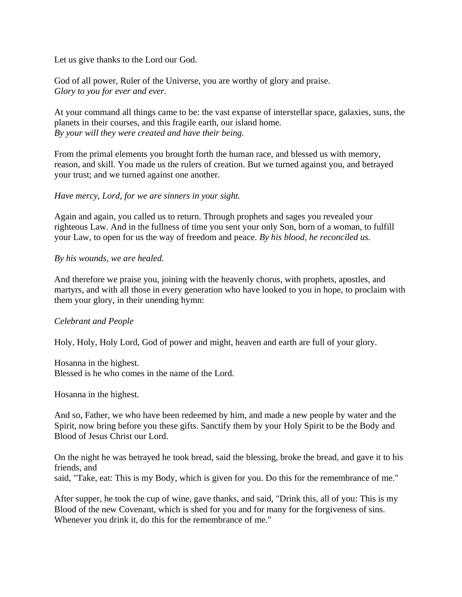Let us give thanks to the Lord our God.

God of all power, Ruler of the Universe, you are worthy of glory and praise. *Glory to you for ever and ever.* 

At your command all things came to be: the vast expanse of interstellar space, galaxies, suns, the planets in their courses, and this fragile earth, our island home. *By your will they were created and have their being.* 

From the primal elements you brought forth the human race, and blessed us with memory, reason, and skill. You made us the rulers of creation. But we turned against you, and betrayed your trust; and we turned against one another.

## *Have mercy, Lord, for we are sinners in your sight.*

Again and again, you called us to return. Through prophets and sages you revealed your righteous Law. And in the fullness of time you sent your only Son, born of a woman, to fulfill your Law, to open for us the way of freedom and peace. *By his blood, he reconciled us.* 

## *By his wounds, we are healed.*

And therefore we praise you, joining with the heavenly chorus, with prophets, apostles, and martyrs, and with all those in every generation who have looked to you in hope, to proclaim with them your glory, in their unending hymn:

## *Celebrant and People*

Holy, Holy, Holy Lord, God of power and might, heaven and earth are full of your glory.

Hosanna in the highest. Blessed is he who comes in the name of the Lord.

Hosanna in the highest.

And so, Father, we who have been redeemed by him, and made a new people by water and the Spirit, now bring before you these gifts. Sanctify them by your Holy Spirit to be the Body and Blood of Jesus Christ our Lord.

On the night he was betrayed he took bread, said the blessing, broke the bread, and gave it to his friends, and

said, "Take, eat: This is my Body, which is given for you. Do this for the remembrance of me."

After supper, he took the cup of wine, gave thanks, and said, "Drink this, all of you: This is my Blood of the new Covenant, which is shed for you and for many for the forgiveness of sins. Whenever you drink it, do this for the remembrance of me."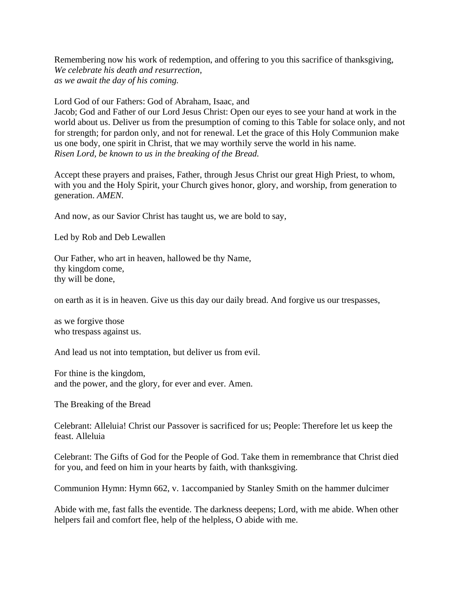Remembering now his work of redemption, and offering to you this sacrifice of thanksgiving, *We celebrate his death and resurrection, as we await the day of his coming.* 

Lord God of our Fathers: God of Abraham, Isaac, and

Jacob; God and Father of our Lord Jesus Christ: Open our eyes to see your hand at work in the world about us. Deliver us from the presumption of coming to this Table for solace only, and not for strength; for pardon only, and not for renewal. Let the grace of this Holy Communion make us one body, one spirit in Christ, that we may worthily serve the world in his name. *Risen Lord, be known to us in the breaking of the Bread.* 

Accept these prayers and praises, Father, through Jesus Christ our great High Priest, to whom, with you and the Holy Spirit, your Church gives honor, glory, and worship, from generation to generation. *AMEN.* 

And now, as our Savior Christ has taught us, we are bold to say,

Led by Rob and Deb Lewallen

Our Father, who art in heaven, hallowed be thy Name, thy kingdom come, thy will be done,

on earth as it is in heaven. Give us this day our daily bread. And forgive us our trespasses,

as we forgive those who trespass against us.

And lead us not into temptation, but deliver us from evil.

For thine is the kingdom, and the power, and the glory, for ever and ever. Amen.

The Breaking of the Bread

Celebrant: Alleluia! Christ our Passover is sacrificed for us; People: Therefore let us keep the feast. Alleluia

Celebrant: The Gifts of God for the People of God. Take them in remembrance that Christ died for you, and feed on him in your hearts by faith, with thanksgiving.

Communion Hymn: Hymn 662, v. 1accompanied by Stanley Smith on the hammer dulcimer

Abide with me, fast falls the eventide. The darkness deepens; Lord, with me abide. When other helpers fail and comfort flee, help of the helpless, O abide with me.